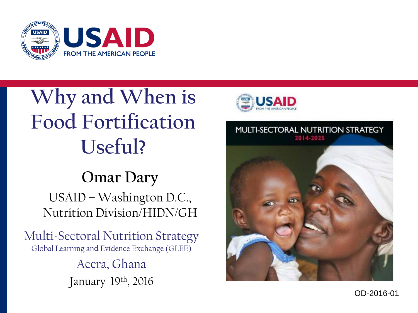

# **Why and When is Food Fortification Useful?**

#### **Omar Dary** USAID – Washington D.C., Nutrition Division/HIDN/GH

Multi -Sectoral Nutrition Strategy Global Learning and Evidence Exchange (GLEE) Accra, Ghana January 19th, 2016





OD -2016 -01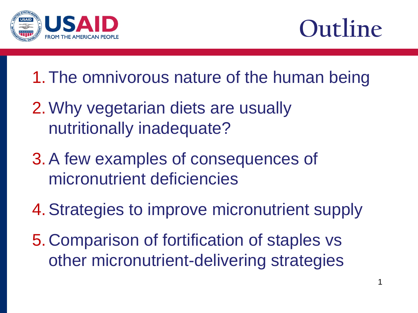



- 1.The omnivorous nature of the human being
- 2.Why vegetarian diets are usually nutritionally inadequate?
- 3.A few examples of consequences of micronutrient deficiencies
- 4.Strategies to improve micronutrient supply
- 5.Comparison of fortification of staples vs other micronutrient-delivering strategies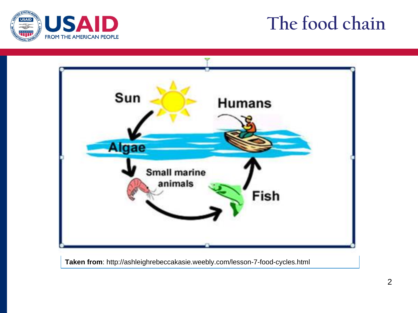

## **The food chain**



**Taken from**: http://ashleighrebeccakasie.weebly.com/lesson-7-food-cycles.html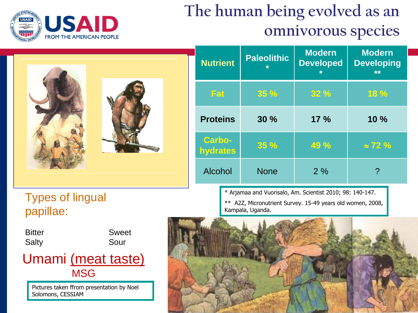

#### **The human being evolved as an omnivorous species**



| <b>Nutrient</b>                  | <b>Paleolithic</b><br>$\star$ | <b>Modern</b><br><b>Developed</b><br>$\star$ | <b>Modern</b><br><b>Developing</b><br>** |
|----------------------------------|-------------------------------|----------------------------------------------|------------------------------------------|
| Fat                              | <b>35 %</b>                   | 32%                                          | 18 %                                     |
| <b>Proteins</b>                  | 30%                           | 17%                                          | 10%                                      |
| <b>Carbo-</b><br><b>hydrates</b> | 35 %                          | 49 %                                         | $\approx$ 72 %                           |
| <b>Alcohol</b>                   | <b>None</b>                   | 2%                                           | ၇                                        |

\* Arjamaa and Vuorisalo, Am. Scientist 2010; 98: 140-147. \*\* A2Z, Micronutrient Survey. 15-49 years old women, 2008,

Types of lingual papillae:



Pictures taken ffrom presentation by Noel Solomons, CESSIAM

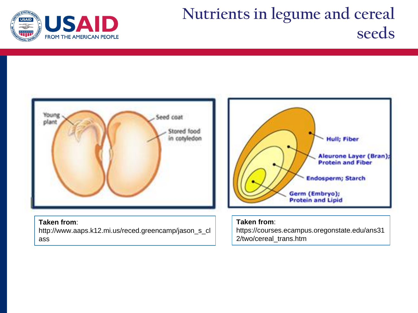

#### **Nutrients in legume and cereal seeds**

https://courses.ecampus.oregonstate.edu/ans31

2/two/cereal\_trans.htm



#### **Taken from**:

http://www.aaps.k12.mi.us/reced.greencamp/jason\_s\_cl ass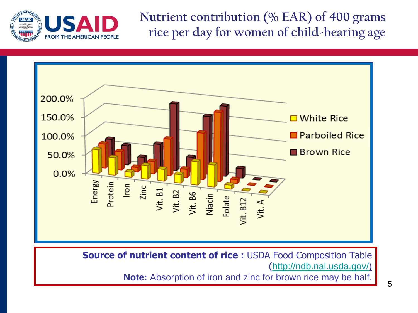

**Nutrient contribution (% EAR) of 400 grams rice per day for women of child-bearing age**



**Source of nutrient content of rice :** USDA Food Composition Table (<http://ndb.nal.usda.gov/>)

**Note:** Absorption of iron and zinc for brown rice may be half.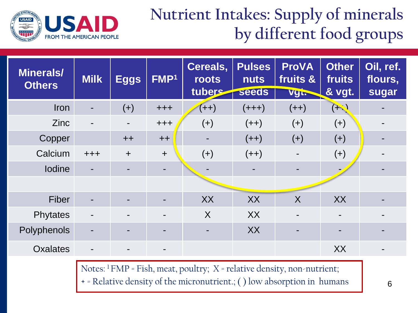

#### **Nutrient Intakes: Supply of minerals by different food groups**

| <b>Minerals/</b><br><b>Others</b> | <b>Milk</b> | <b>Eggs</b>              | FMP <sup>1</sup>         | Cereals,<br>roots<br>tubers | <b>Pulses</b><br><b>nuts</b><br>seeds | <b>ProVA</b><br>fruits &<br>Vgt. | <b>Other</b><br>fruits<br>& vgt. | Oil, ref.<br>flours,<br>sugar |
|-----------------------------------|-------------|--------------------------|--------------------------|-----------------------------|---------------------------------------|----------------------------------|----------------------------------|-------------------------------|
| <b>Iron</b>                       |             | $(+)$                    | $++++$                   | $(++)$                      | $(+++)$                               | $(++)$                           | $(\rightarrow)$                  |                               |
| <b>Zinc</b>                       |             | $\overline{\phantom{a}}$ | $++++$                   | $(+)$                       | $(++)$                                | $(+)$                            | $(+)$                            |                               |
| Copper                            |             | $++$                     | $++$                     | $\blacksquare$              | $(++)$                                | $(+)$                            | $(+)$                            |                               |
| Calcium                           | $+ + +$     | $\ddot{}$                | $\ddot{}$                | $(+)$                       | $(++)$                                |                                  | $(+)$                            |                               |
| <b>lodine</b>                     |             | ۰                        | $\blacksquare$           |                             |                                       | $\overline{\phantom{a}}$         |                                  |                               |
|                                   |             |                          |                          |                             |                                       |                                  |                                  |                               |
| Fiber                             |             | ۰                        |                          | XX                          | XX                                    | X                                | XX                               |                               |
| Phytates                          |             | $\blacksquare$           |                          | $\sf X$                     | XX                                    |                                  |                                  |                               |
| Polyphenols                       |             | $\blacksquare$           | ۰                        | $\blacksquare$              | XX                                    | $\blacksquare$                   |                                  |                               |
| <b>Oxalates</b>                   |             | $\blacksquare$           | $\overline{\phantom{a}}$ |                             |                                       |                                  | XX                               | $\blacksquare$                |

Notes: <sup>1</sup>FMP = Fish, meat, poultry; X = relative density, non-nutrient;

+ = Relative density of the micronutrient.; ( ) low absorption in humans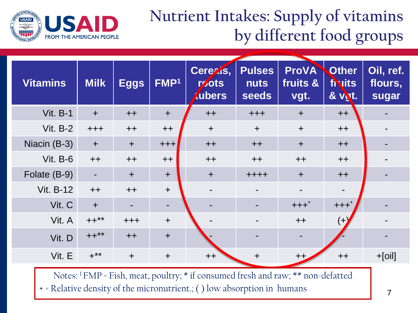

#### **Nutrient Intakes: Supply of vitamins by different food groups**

| <b>Vitamins</b>  | <b>Milk</b> | <b>Eggs</b> | FMP <sup>1</sup> | Cerezis,<br>r/jots<br><i>d</i> ubers | <b>Pulses</b><br><b>nuts</b><br>seeds | <b>ProVA</b><br>fruits &<br>vgt. | <b>Other</b><br><b>finits</b><br>& vit. | Oil, ref.<br>flours,<br>sugar |
|------------------|-------------|-------------|------------------|--------------------------------------|---------------------------------------|----------------------------------|-----------------------------------------|-------------------------------|
| <b>Vit. B-1</b>  | $+$         | $++$        | $+$              | $++$                                 | $++++$                                | $+$                              | $++$                                    |                               |
| <b>Vit. B-2</b>  | $++++$      | $++$        | $++$             | $+$                                  | $+$                                   | $+$                              | $++$                                    | $\blacksquare$                |
| Niacin (B-3)     | $+$         | $+$         | $+ + +$          | $++$                                 | $++$                                  | $+$                              | $++$                                    |                               |
| <b>Vit. B-6</b>  | $++$        | $++$        | $++$             | $++$                                 | $++$                                  | $++$                             | $++$                                    |                               |
| Folate (B-9)     |             | $\ddot{}$   | $+$              | $+$                                  | $+ + + +$                             | $+$                              | $++$                                    |                               |
| <b>Vit. B-12</b> | $++$        | $++$        | $+$              | $\overline{\phantom{a}}$             |                                       | $\overline{\phantom{a}}$         |                                         |                               |
| Vit. C           | $+$         |             | $\blacksquare$   |                                      |                                       | $+++$ *                          | $+ + +$                                 |                               |
| Vit. A           | $++***$     | $+ + +$     | $+$              |                                      |                                       | $++$                             | $(+)$                                   |                               |
| Vit. D           | $++***$     | $++$        | $+$              |                                      |                                       | $\blacksquare$                   |                                         |                               |
| Vit. E           | $+***$      | $\ddot{}$   | $+$              | $++$                                 | $\ddag$                               | $++$                             | $++$                                    | $+[oil]$                      |

Notes: <sup>1</sup>FMP = Fish, meat, poultry; \* if consumed fresh and raw; \*\* non-defatted + = Relative density of the micronutrient.; ( ) low absorption in humans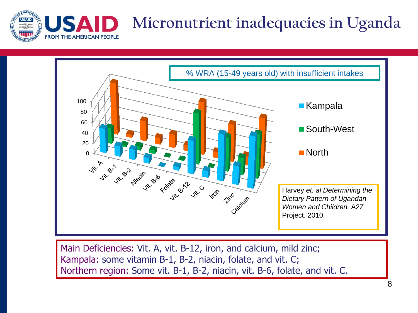



Main Deficiencies: Vit. A, vit. B-12, iron, and calcium, mild zinc; Kampala: some vitamin B-1, B-2, niacin, folate, and vit. C; Northern region: Some vit. B-1, B-2, niacin, vit. B-6, folate, and vit. C.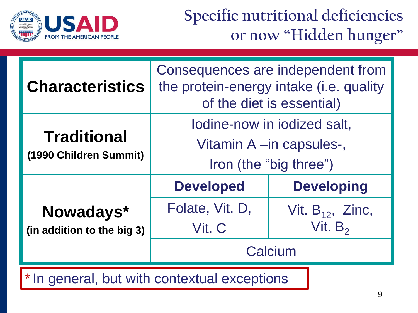

#### **Specific nutritional deficiencies or now "Hidden hunger"**

| <b>Characteristics</b>                       | Consequences are independent from<br>the protein-energy intake (i.e. quality<br>of the diet is essential) |                                     |  |  |
|----------------------------------------------|-----------------------------------------------------------------------------------------------------------|-------------------------------------|--|--|
| <b>Traditional</b><br>(1990 Children Summit) | lodine-now in iodized salt,<br>Vitamin A –in capsules-,<br>Iron (the "big three")                         |                                     |  |  |
|                                              | <b>Developed</b>                                                                                          | <b>Developing</b>                   |  |  |
| Nowadays*<br>(in addition to the big 3)      | Folate, Vit. D,<br>Vit. C                                                                                 | Vit. $B_{12}$ , Zinc,<br>Vit. $B_2$ |  |  |
|                                              |                                                                                                           | Calcium                             |  |  |
| * In general, but with contextual exceptions |                                                                                                           |                                     |  |  |

9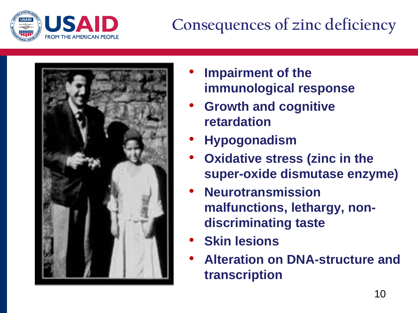

# **Consequences of zinc deficiency**



- **Impairment of the immunological response**
- **Growth and cognitive retardation**
- **Hypogonadism**
- **Oxidative stress (zinc in the super-oxide dismutase enzyme)**
- **Neurotransmission malfunctions, lethargy, nondiscriminating taste**
- **Skin lesions**
- **Alteration on DNA-structure and transcription**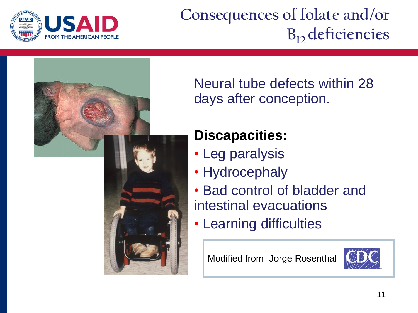

### **Consequences of folate and/or B12 deficiencies**



Neural tube defects within 28 days after conception.

#### **Discapacities:**

- Leg paralysis
- Hydrocephaly
- Bad control of bladder and intestinal evacuations
- Learning difficulties

Modified from Jorge Rosenthal

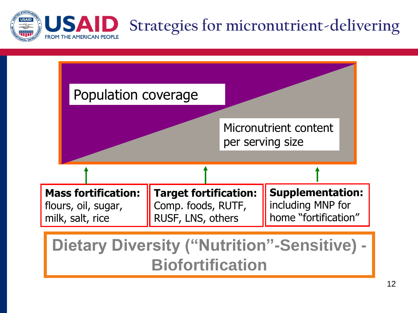

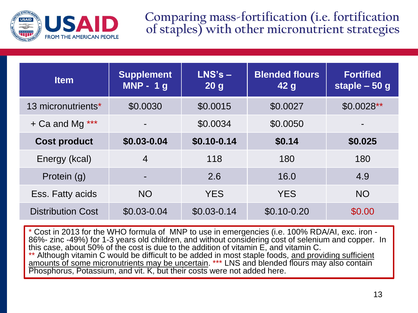

**Comparing mass-fortification (i.e. fortification of staples) with other micronutrient strategies**

| <b>Item</b>              | <b>Supplement</b><br>$MNP - 1g$ | $L$ NS's $-$<br>20 <sub>g</sub> | <b>Blended flours</b><br>42 <sub>g</sub> | <b>Fortified</b><br>staple - 50 g |
|--------------------------|---------------------------------|---------------------------------|------------------------------------------|-----------------------------------|
| 13 micronutrients*       | \$0.0030                        | \$0.0015                        | \$0.0027                                 | $$0.0028**$                       |
| + Ca and Mg ***          |                                 | \$0.0034                        | \$0.0050                                 |                                   |
| <b>Cost product</b>      | \$0.03-0.04                     | $$0.10 - 0.14$                  | \$0.14                                   | \$0.025                           |
| Energy (kcal)            | $\overline{4}$                  | 118                             | 180                                      | 180                               |
| Protein (g)              |                                 | 2.6                             | 16.0                                     | 4.9                               |
| Ess. Fatty acids         | <b>NO</b>                       | <b>YES</b>                      | <b>YES</b>                               | <b>NO</b>                         |
| <b>Distribution Cost</b> | $$0.03 - 0.04$                  | $$0.03 - 0.14$                  | $$0.10 - 0.20$                           | \$0.00                            |

\* Cost in 2013 for the WHO formula of MNP to use in emergencies (i.e. 100% RDA/AI, exc. iron - 86%- zinc -49%) for 1-3 years old children, and without considering cost of selenium and copper. In this case, about 50% of the cost is due to the addition of vitamin E, and vitamin C. Although vitamin C would be difficult to be added in most staple foods, and providing sufficient amounts of some micronutrients may be uncertain. \*\*\* LNS and blended flours may also contain Phosphorus, Potassium, and vit. K, but their costs were not added here.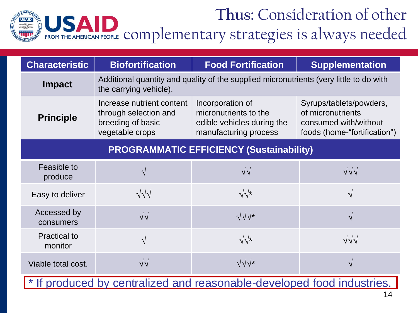

| <b>Characteristic</b>                           | <b>Biofortification</b>                                                                    | <b>Food Fortification</b>                                                                        | <b>Supplementation</b>                                                                                |  |  |  |
|-------------------------------------------------|--------------------------------------------------------------------------------------------|--------------------------------------------------------------------------------------------------|-------------------------------------------------------------------------------------------------------|--|--|--|
| <b>Impact</b>                                   | the carrying vehicle).                                                                     | Additional quantity and quality of the supplied micronutrients (very little to do with           |                                                                                                       |  |  |  |
| <b>Principle</b>                                | Increase nutrient content<br>through selection and<br>breeding of basic<br>vegetable crops | Incorporation of<br>micronutrients to the<br>edible vehicles during the<br>manufacturing process | Syrups/tablets/powders,<br>of micronutrients<br>consumed with/without<br>foods (home-"fortification") |  |  |  |
| <b>PROGRAMMATIC EFFICIENCY (Sustainability)</b> |                                                                                            |                                                                                                  |                                                                                                       |  |  |  |
| Feasible to<br>produce                          | $\sqrt{}$                                                                                  | $\sqrt{\sqrt{2}}$                                                                                | $\sqrt{\sqrt{}}$                                                                                      |  |  |  |
| Easy to deliver                                 | $\sqrt{\sqrt{}}$                                                                           | $\sqrt{\sqrt{\star}}$                                                                            | $\mathcal{N}$                                                                                         |  |  |  |
| Accessed by<br>consumers                        | $\sqrt{\sqrt{2}}$                                                                          | $\sqrt{\sqrt[4]{x}}$                                                                             | $\mathcal{N}$                                                                                         |  |  |  |
| <b>Practical to</b><br>monitor                  | $\sqrt{}$                                                                                  | $\sqrt{\sqrt{}}$                                                                                 | $\sqrt{\sqrt{}}$                                                                                      |  |  |  |
| Viable total cost.                              | $\sqrt{2}$                                                                                 | $\sqrt{\sqrt{x}}$                                                                                | $\mathcal{N}$                                                                                         |  |  |  |
|                                                 |                                                                                            | * If produced by centralized and reasonable-developed food industries.                           |                                                                                                       |  |  |  |

14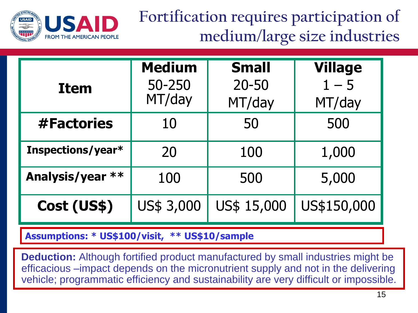

**Fortification requires participation of medium/large size industries**

| <b>Item</b>       | <b>Medium</b><br>50-250<br>MT/day | <b>Small</b><br>$20 - 50$<br>MT/day | <b>Village</b><br>$1 - 5$<br>MT/day |
|-------------------|-----------------------------------|-------------------------------------|-------------------------------------|
| #Factories        | 10                                | 50                                  | 500                                 |
| Inspections/year* | 20                                | 100                                 | 1,000                               |
| Analysis/year **  | 100                               | 500                                 | 5,000                               |
| Cost (US\$)       | US\$ 3,000                        | US\$ 15,000                         | US\$150,000                         |

**Assumptions: \* US\$100/visit, \*\* US\$10/sample**

**Deduction:** Although fortified product manufactured by small industries might be efficacious –impact depends on the micronutrient supply and not in the delivering vehicle; programmatic efficiency and sustainability are very difficult or impossible.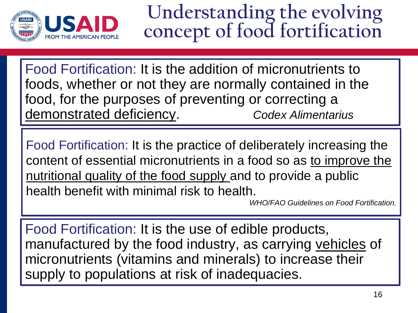

**Understanding the evolving concept of food fortification**

Food Fortification: It is the addition of micronutrients to foods, whether or not they are normally contained in the food, for the purposes of preventing or correcting a demonstrated deficiency. *Codex Alimentarius*

Food Fortification: It is the practice of deliberately increasing the content of essential micronutrients in a food so as to improve the nutritional quality of the food supply and to provide a public health benefit with minimal risk to health.

*WHO/FAO Guidelines on Food Fortification.* 

Food Fortification: It is the use of edible products, manufactured by the food industry, as carrying vehicles of micronutrients (vitamins and minerals) to increase their supply to populations at risk of inadequacies.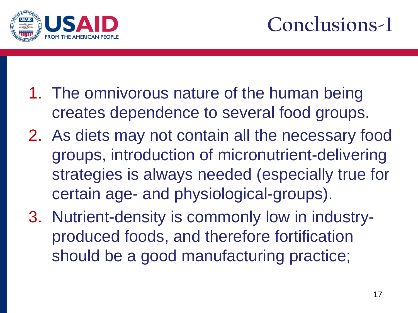



- 1. The omnivorous nature of the human being creates dependence to several food groups.
- 2. As diets may not contain all the necessary food groups, introduction of micronutrient-delivering strategies is always needed (especially true for certain age- and physiological-groups).
- 3. Nutrient-density is commonly low in industryproduced foods, and therefore fortification should be a good manufacturing practice;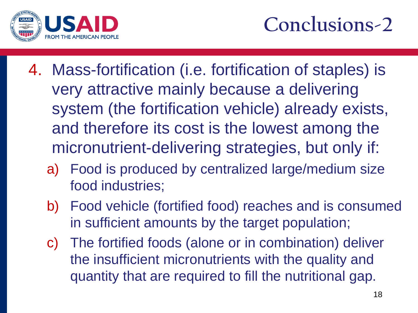

# **Conclusions-2**

- 4. Mass-fortification (i.e. fortification of staples) is very attractive mainly because a delivering system (the fortification vehicle) already exists, and therefore its cost is the lowest among the micronutrient-delivering strategies, but only if:
	- a) Food is produced by centralized large/medium size food industries;
	- b) Food vehicle (fortified food) reaches and is consumed in sufficient amounts by the target population;
	- c) The fortified foods (alone or in combination) deliver the insufficient micronutrients with the quality and quantity that are required to fill the nutritional gap.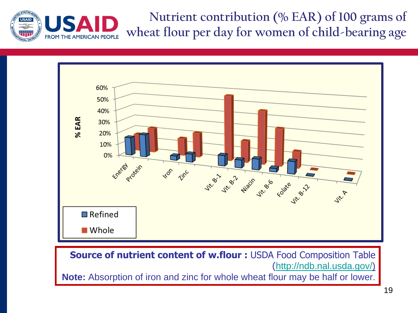



**Source of nutrient content of w.flour :** USDA Food Composition Table (<http://ndb.nal.usda.gov/>) **Note:** Absorption of iron and zinc for whole wheat flour may be half or lower.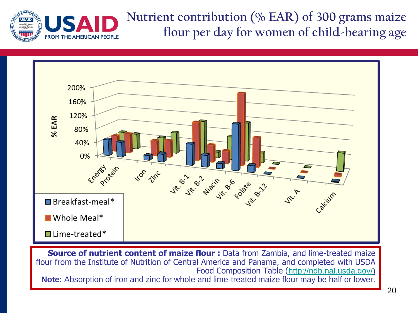



**Source of nutrient content of maize flour :** Data from Zambia, and lime-treated maize flour from the Institute of Nutrition of Central America and Panama, and completed with USDA Food Composition Table (<http://ndb.nal.usda.gov/>) **Note:** Absorption of iron and zinc for whole and lime-treated maize flour may be half or lower.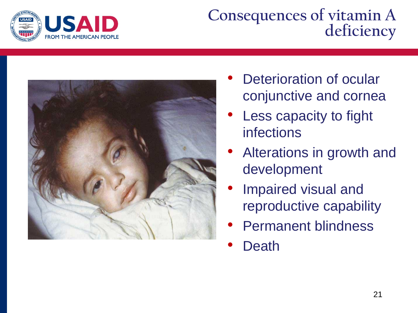

#### **Consequences of vitamin A deficiency**



- Deterioration of ocular conjunctive and cornea
- Less capacity to fight infections
- Alterations in growth and development
- Impaired visual and reproductive capability
- Permanent blindness
- **Death**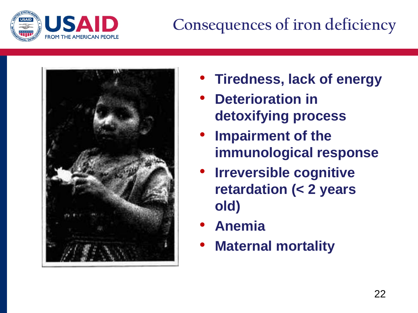

# **Consequences of iron deficiency**



- **Tiredness, lack of energy**
- **Deterioration in detoxifying process**
- **Impairment of the immunological response**
- **Irreversible cognitive retardation (< 2 years old)**
- **Anemia**
- **Maternal mortality**